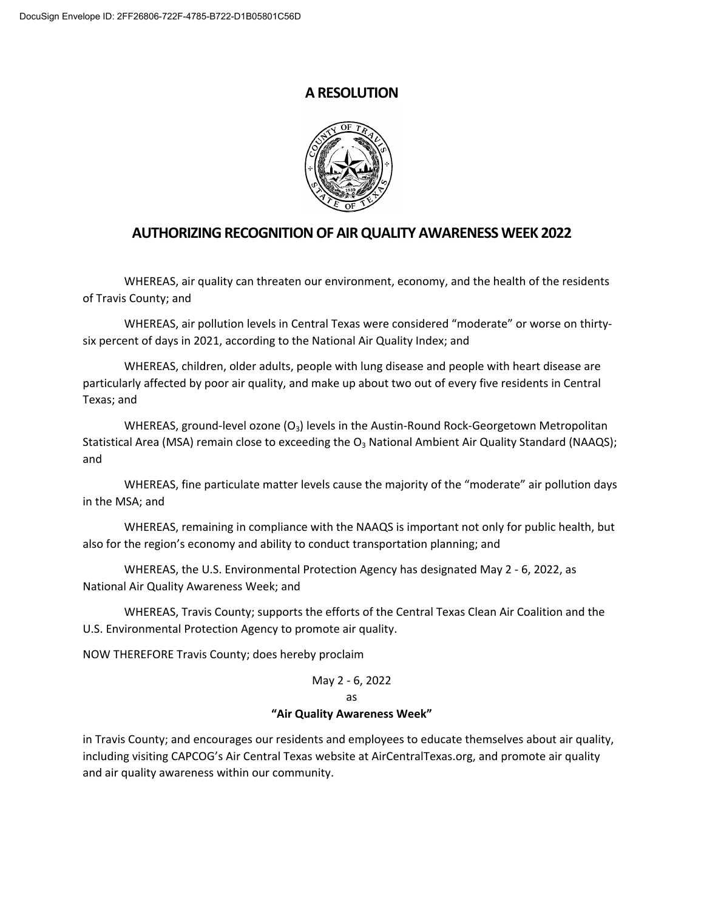## **A RESOLUTION**



## **AUTHORIZING RECOGNITION OF AIR QUALITY AWARENESS WEEK 2022**

WHEREAS, air quality can threaten our environment, economy, and the health of the residents of Travis County; and

WHEREAS, air pollution levels in Central Texas were considered "moderate" or worse on thirtysix percent of days in 2021, according to the National Air Quality Index; and

WHEREAS, children, older adults, people with lung disease and people with heart disease are particularly affected by poor air quality, and make up about two out of every five residents in Central Texas; and

WHEREAS, ground-level ozone  $(O_3)$  levels in the Austin-Round Rock-Georgetown Metropolitan Statistical Area (MSA) remain close to exceeding the  $O<sub>3</sub>$  National Ambient Air Quality Standard (NAAQS); and

WHEREAS, fine particulate matter levels cause the majority of the "moderate" air pollution days in the MSA; and

WHEREAS, remaining in compliance with the NAAQS is important not only for public health, but also for the region's economy and ability to conduct transportation planning; and

WHEREAS, the U.S. Environmental Protection Agency has designated May 2 - 6, 2022, as National Air Quality Awareness Week; and

WHEREAS, Travis County; supports the efforts of the Central Texas Clean Air Coalition and the U.S. Environmental Protection Agency to promote air quality.

NOW THEREFORE Travis County; does hereby proclaim

May 2 - 6, 2022 as

## **"Air Quality Awareness Week"**

in Travis County; and encourages our residents and employees to educate themselves about air quality, including visiting CAPCOG's Air Central Texas website at AirCentralTexas.org, and promote air quality and air quality awareness within our community.